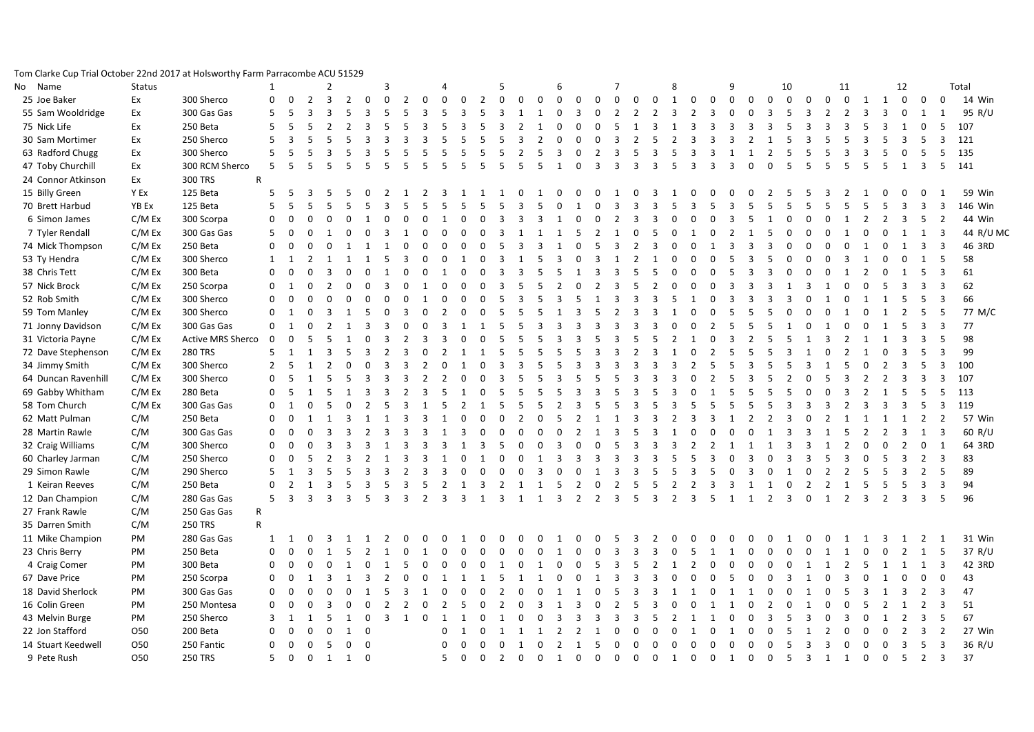## Tom Clarke Cup Trial October 22nd 2017 at Holsworthy Farm Parracombe ACU 51529

| Name<br>No          | <b>Status</b> |                          | $\mathbf{1}$   |                |                         | $\overline{2}$          |                |                | 3              |                |                         | $\overline{a}$           |                         |                | .5             |                |                | 6              |                |                | $\overline{7}$           |                          |                          | 8             |                               | $\mathbf{q}$   |               |                | 10             |                |                | 11             |                |                | 12             |                |                         | Total     |
|---------------------|---------------|--------------------------|----------------|----------------|-------------------------|-------------------------|----------------|----------------|----------------|----------------|-------------------------|--------------------------|-------------------------|----------------|----------------|----------------|----------------|----------------|----------------|----------------|--------------------------|--------------------------|--------------------------|---------------|-------------------------------|----------------|---------------|----------------|----------------|----------------|----------------|----------------|----------------|----------------|----------------|----------------|-------------------------|-----------|
| 25 Joe Baker        | Ex            | 300 Sherco               | $\mathbf 0$    | $\Omega$       | $\overline{2}$          | $\overline{3}$          | $\overline{2}$ | $\Omega$       | $\mathbf 0$    | $\overline{2}$ | $\mathbf 0$             | $\Omega$                 | $\mathbf 0$             | $\overline{2}$ | $\mathbf 0$    | $\mathbf 0$    | $\mathbf 0$    | $\mathbf 0$    | $\mathbf 0$    | $\mathbf 0$    | $\mathbf 0$              | $\mathbf 0$              | $\mathbf 0$              | $\mathbf{1}$  | $\mathbf 0$<br>$\mathbf 0$    | $\mathbf 0$    | $\mathbf 0$   | $\Omega$       | $\mathbf 0$    | $\Omega$       | $\Omega$       | $\mathbf 0$    | 1              | 1              | $\mathbf 0$    | $\mathbf 0$    | $\mathbf 0$             | 14 Win    |
| 55 Sam Wooldridge   | Ex            | 300 Gas Gas              | 5              | 5              | $\overline{3}$          | $\overline{\mathbf{3}}$ |                |                |                | 5              | $\mathbf{a}$            | 5                        | $\overline{\mathbf{3}}$ |                | $\mathbf{a}$   |                | $\mathbf 1$    | $\Omega$       | $\overline{3}$ | $\Omega$       | $\overline{\phantom{0}}$ | $\overline{\phantom{a}}$ | $\overline{\phantom{a}}$ | 3             | $\mathbf{3}$<br>2             | $\Omega$       | $\Omega$      | $\mathbf{a}$   | 5              | ર              |                | 2              | 3              | 3              | $\mathbf 0$    | 1              | $\mathbf{1}$            | 95 R/U    |
| 75 Nick Life        | Ex            | 250 Beta                 | 5              |                |                         |                         |                |                |                |                |                         |                          |                         |                |                |                |                | $\Omega$       | $\Omega$       | $\Omega$       | 5                        |                          |                          |               | Р                             | 3              | $\mathbf{a}$  | 3              | 5              |                |                |                | 5              | 3              |                | $\mathbf 0$    | 5                       | 107       |
| 30 Sam Mortimer     | Ex            | 250 Sherco               | 5              | $\mathbf{a}$   | 5                       | 5                       |                |                |                | 3              | $\overline{\mathbf{3}}$ |                          | 5                       | 5              |                |                |                | $\Omega$       | $\Omega$       | $\Omega$       | 3                        | $\mathcal{P}$            | 5                        |               | Р<br>3                        | $\mathbf{B}$   | $\mathcal{P}$ |                | 5              | 3              |                |                | 3              | -5             | 3              | 5              | $\overline{\mathbf{3}}$ | 121       |
| 63 Radford Chugg    | Ex            | 300 Sherco               | $\overline{5}$ |                | 5                       |                         |                |                | 5              | 5              | 5                       | 5                        | 5                       | 5              | 5              | $\mathcal{P}$  | 5              | $\mathbf{3}$   | $\Omega$       | $\mathcal{P}$  | $\mathbf{a}$             | 5                        | $\mathbf{3}$             | 5             | $\mathbf{a}$<br>ર             |                |               | $\mathcal{P}$  | 5              | -5             | 5              | 3              | 3              | .5             | $\Omega$       | 5              | 5                       | 135       |
| 47 Toby Churchill   | Ex            | 300 RCM Sherco           | 5              | 5              | 5                       |                         |                |                |                |                |                         |                          |                         | 5              |                |                |                |                | $\Omega$       | $\mathbf{3}$   | $\mathbf{a}$             | ₹                        |                          |               |                               | $\mathbf{a}$   | $\Omega$      | $\Omega$       | 5              |                |                |                | 5              | 5              |                | $\overline{3}$ | 5                       | 141       |
| 24 Connor Atkinson  | Ex            | 300 TRS                  | $\mathsf{R}$   |                |                         |                         |                |                |                |                |                         |                          |                         |                |                |                |                |                |                |                |                          |                          |                          |               |                               |                |               |                |                |                |                |                |                |                |                |                |                         |           |
| 15 Billy Green      | Y Ex          | 125 Beta                 | 5              | - 5            | 3                       | 5                       | 5              |                | 2              |                | -2                      | ર                        |                         |                |                |                |                | $\Omega$       | $\Omega$       | $\Omega$       |                          | ŋ                        | ર                        |               |                               |                | <sup>n</sup>  |                | 5              |                |                |                |                | $\Omega$       | 0              | 0              | -1                      | 59 Win    |
| 70 Brett Harbud     | <b>YB Ex</b>  | 125 Beta                 | 5              |                |                         |                         |                |                |                |                |                         |                          |                         |                |                |                |                |                |                |                | ₹                        |                          |                          |               |                               |                |               |                | 5              |                |                |                | 5              | -5             | 3              | $\mathbf{a}$   | $\overline{3}$          | 146 Win   |
| 6 Simon James       | C/M Ex        | 300 Scorpa               | $\mathbf 0$    | $\Omega$       | $\Omega$                |                         | $\Omega$       |                |                |                | $\Omega$                |                          | $\Omega$                | $\Omega$       |                |                |                |                | $\Omega$       | $\Omega$       | $\mathcal{P}$            | 3                        | ર                        |               |                               |                |               |                | U              |                |                |                | $\mathcal{P}$  |                | 3              | 5              | $\overline{2}$          | 44 Win    |
| 7 Tyler Rendall     | C/M Ex        | 300 Gas Gas              | 5              | $\mathbf 0$    | $\mathbf 0$             |                         | $\Omega$       |                |                |                | $\Omega$                | $\Omega$                 | $\Omega$                | $\Omega$       |                |                |                |                | 5              | $\overline{2}$ | $\mathbf{1}$             | U                        | 5                        |               |                               |                |               | 5              | $\Omega$       | $\Omega$       | $\Omega$       |                | $\Omega$       |                | 1              | 1              | 3                       | 44 R/U MC |
| 74 Mick Thompson    | C/M Ex        | 250 Beta                 | $\Omega$       | $\Omega$       | $\Omega$                |                         |                |                |                |                |                         |                          | $\Omega$                | $\Omega$       |                |                |                |                |                |                | 3                        | $\mathcal{P}$            | २                        |               |                               | $\mathbf{a}$   |               |                | O              |                |                |                |                |                |                | $\overline{3}$ | $\overline{3}$          | 46 3RD    |
| 53 Ty Hendra        | C/M Ex        | 300 Sherco               | 1              | $\mathbf{1}$   | $\overline{2}$          |                         |                |                |                |                |                         |                          |                         | $\Omega$       |                |                |                |                |                | २              |                          |                          |                          |               |                               |                |               | 5              | O              |                |                | Р              |                |                | $\Omega$       | $\overline{1}$ | 5                       | 58        |
| 38 Chris Tett       | C/M Ex        | 300 Beta                 | $\Omega$       | $\Omega$       | $\Omega$                | 3                       |                |                |                |                |                         |                          | $\Omega$                |                |                |                |                | 5              |                |                | $\mathbf{3}$             |                          |                          |               |                               | 5              |               | 3              | $\Omega$       |                | $\Omega$       |                | $\overline{2}$ |                |                | 5              | $\overline{3}$          | 61        |
| 57 Nick Brock       | C/M Ex        | 250 Scorpa               | $\Omega$       | -1             | $\Omega$                | 2                       | $\Omega$       |                | 3              |                |                         | $\Omega$                 | $\Omega$                |                |                |                |                |                |                | $\mathcal{P}$  | 3                        |                          |                          |               |                               | ર              |               | 3              |                | 3              |                |                |                | -5             | 3              | 3              | 3                       | 62        |
| 52 Rob Smith        | C/M Ex        | 300 Sherco               | $\mathbf 0$    | $\mathbf 0$    | $\mathbf 0$             | $\Omega$                | $\Omega$       |                | $\Omega$       |                |                         | $\Omega$                 | $\Omega$                | $\Omega$       |                |                |                |                |                |                |                          |                          |                          |               |                               |                |               |                | 3              |                |                |                |                |                |                | 5              | $\overline{3}$          | 66        |
| 59 Tom Manley       | C/M Ex        | 300 Sherco               | $\mathbf 0$    | $\mathbf{1}$   | $\mathbf 0$             | 3                       |                |                | $\Omega$       | Р              | $\Omega$                |                          | $\Omega$                | $\Omega$       |                |                |                |                |                |                | $\mathcal{P}$            | Р                        | 3                        |               |                               | 5              | 5             | 5              | $\Omega$       |                | $\Omega$       |                | $\Omega$       |                | 2              | 5              | 5                       | 77 M/C    |
| 71 Jonny Davidson   | C/M Ex        | 300 Gas Gas              | $\Omega$       | 1              | $\Omega$                | 2                       |                |                | ર              |                | $\Omega$                | ર                        | $\mathbf{1}$            | $\mathbf{1}$   | 5              | 5              | ર              | ર              | ર              | ર              | $\mathbf{a}$             | ર                        |                          |               | $\mathcal{D}$<br>n            | -5             | 5             | 5              | -1             | $\Omega$       | -1             | n              | $\Omega$       | 1              | 5              | 3              | 3                       | 77        |
| 31 Victoria Payne   | C/M Ex        | <b>Active MRS Sherco</b> | $\overline{0}$ | $\Omega$       |                         |                         |                |                |                |                |                         |                          | $\Omega$                |                |                |                |                |                |                |                |                          |                          |                          |               |                               |                |               |                |                |                |                |                |                |                | 3              | 3              | 5                       | 98        |
| 72 Dave Stephenson  | C/M Ex        | <b>280 TRS</b>           | 5              |                | $\mathbf{1}$            | 3                       | 5              |                | 2              | 3              | $\Omega$                | $\mathcal{P}$            | $\mathbf{1}$            | $\mathbf{1}$   |                | -5             |                | 5              |                | २              | 3                        | $\mathcal{P}$            | 3                        |               | $\overline{z}$<br>$\Omega$    | -5             | 5             | 5              | 3              |                |                |                |                |                | 3              | 5              | $\overline{3}$          | 99        |
| 34 Jimmy Smith      | C/M Ex        | 300 Sherco               | $\overline{2}$ | 5              | 1                       | $\overline{2}$          | $\mathbf 0$    |                | 3              | 3              | 2                       | $\Omega$                 |                         | $\Omega$       |                |                |                | 5              | $\mathbf{a}$   | २              | 3                        | ς                        | ્ર                       |               | 5                             | -5             | 3             | 5              | 5              | $\mathbf{a}$   |                | 5              | $\Omega$       | $\overline{2}$ | 3              | 5              | 3                       | 100       |
| 64 Duncan Ravenhill | C/M Ex        | 300 Sherco               | $\mathbf 0$    | 5              | 1                       | 5                       |                |                |                |                |                         | $\mathcal{P}$            | $\Omega$                |                |                |                |                |                |                |                | 5                        |                          |                          |               |                               |                |               |                | $\mathcal{P}$  |                |                |                | $\mathcal{P}$  | 2              | 3              | 3              | $\overline{3}$          | 107       |
| 69 Gabby Whitham    | C/M Ex        | 280 Beta                 | $\mathbf 0$    | 5              | $\overline{1}$          |                         |                |                |                |                | $\mathbf{B}$            |                          | $\mathbf{1}$            | $\Omega$       |                |                |                |                |                | २              | 5                        | З                        |                          |               |                               |                |               | 5              | 5              |                |                | Р              | $\overline{2}$ |                | 5              | 5              | 5                       | 113       |
| 58 Tom Church       | C/M Ex        | 300 Gas Gas              | $\mathbf 0$    |                | $\mathbf 0$             |                         | $\Omega$       |                |                | 3              |                         |                          | $\overline{2}$          |                |                |                |                |                | 3              |                |                          |                          |                          |               |                               |                |               |                | 3              |                | 3              |                | 3              | 3              | 3              | 5              | 3                       | 119       |
| 62 Matt Pulman      | C/M           | 250 Beta                 | $\Omega$       | $\Omega$       | $\mathbf{1}$            |                         |                |                |                | 3              |                         |                          | $\Omega$                |                |                |                |                |                |                |                |                          | з                        |                          |               | 3                             |                | $\mathcal{L}$ | 2              |                |                |                |                |                |                |                | 2              | $\overline{2}$          | 57 Win    |
| 28 Martin Rawle     | C/M           | 300 Gas Gas              | $\mathbf 0$    | $\Omega$       | $\Omega$                | $\mathbf{3}$            |                |                |                |                |                         |                          |                         | $\Omega$       |                |                |                | $\Omega$       |                |                | 3                        |                          |                          |               |                               | $\Omega$       |               |                | З              |                |                |                | $\mathcal{P}$  |                | 3              | 1              | $\overline{3}$          | 60 R/U    |
| 32 Craig Williams   | C/M           | 300 Sherco               | $\mathbf 0$    | $\mathbf 0$    | $\mathbf 0$             | 3                       | $\mathbf{3}$   |                |                | Р              | 3                       |                          |                         | 3              | 5              | $\Omega$       |                | 3              | $\Omega$       | $\Omega$       | 5                        | Р                        | ર                        |               |                               |                |               |                | 3              | 3              |                |                | $\Omega$       | $\Omega$       | 2              | $\mathbf 0$    | 1                       | 64 3RD    |
| 60 Charley Jarman   | C/M           | 250 Sherco               | $\Omega$       | $\Omega$       | 5                       | 2                       |                |                |                | $\mathbf{3}$   | $\mathbf{B}$            |                          | $\Omega$                |                | $\Omega$       |                | -1             | 3              | $\mathbf{a}$   | 3              | $\mathbf{a}$             | 3                        |                          |               | ર                             |                | 3             |                | 3              | ર              | -5             | 3              | $\Omega$       | .5             | 3              | $\overline{2}$ | $\overline{3}$          | 83        |
| 29 Simon Rawle      | C/M           | 290 Sherco               | 5              |                | $\mathbf{a}$            |                         |                |                |                |                |                         |                          | $\Omega$                | $\Omega$       | $\Omega$       | $\Omega$       | Р              | $\Omega$       | $\Omega$       |                | $\mathbf{3}$             |                          |                          |               |                               |                |               | $\Omega$       |                | $\Omega$       | 2              |                | .5             |                |                | $\overline{2}$ | 5                       | 89        |
| 1 Keiran Reeves     | C/M           | 250 Beta                 | $\mathbf 0$    | $\mathcal{P}$  | $\overline{1}$          | 3                       | -5             |                | 5              | $\mathbf{a}$   | 5                       | $\overline{\phantom{a}}$ | $\mathbf{1}$            | 3              | $\overline{2}$ | 1              | -1             | -5             | 2              | 0              | $\overline{2}$           | 5                        | 5                        | $\mathcal{P}$ | $\mathcal{P}$<br>$\mathbf{a}$ | 3              | -1            | $\mathbf{1}$   | $\mathbf 0$    | $\overline{2}$ | $\overline{2}$ | $\overline{1}$ | -5             | 5              | 5              | 3              | $\overline{3}$          | 94        |
| 12 Dan Champion     | C/M           | 280 Gas Gas              | 5              | $\overline{3}$ | $\overline{\mathbf{3}}$ | $\overline{3}$          | $\overline{3}$ | $5^{\circ}$    | $\overline{3}$ | $\overline{3}$ | $\overline{2}$          | $\overline{3}$           | 3                       | 1              | $\overline{3}$ | $\overline{1}$ | $\overline{1}$ | $\overline{3}$ | $\overline{2}$ | $\overline{2}$ | $\overline{\mathbf{3}}$  | -5                       | $\overline{3}$           | 2             | $\overline{3}$<br>5           | $\overline{1}$ | $\mathbf{1}$  | $\overline{2}$ | $\overline{3}$ | $\mathbf 0$    | $\mathbf{1}$   | 2              | $\overline{3}$ | $\overline{2}$ | $\overline{3}$ | $\overline{3}$ | 5                       | 96        |
| 27 Frank Rawle      | C/M           | 250 Gas Gas              | ${\sf R}$      |                |                         |                         |                |                |                |                |                         |                          |                         |                |                |                |                |                |                |                |                          |                          |                          |               |                               |                |               |                |                |                |                |                |                |                |                |                |                         |           |
| 35 Darren Smith     | C/M           | <b>250 TRS</b>           | $\mathsf{R}$   |                |                         |                         |                |                |                |                |                         |                          |                         |                |                |                |                |                |                |                |                          |                          |                          |               |                               |                |               |                |                |                |                |                |                |                |                |                |                         |           |
| 11 Mike Champion    | PM            | 280 Gas Gas              | $\mathbf{1}$   | 1              | 0                       | 3                       |                |                |                | O              | $\Omega$                | $\Omega$                 | -1                      | n              |                | n              | <sup>0</sup>   |                | $\Omega$       | $\Omega$       | .5                       | 3                        | 2                        |               | ŋ                             | $\Omega$       | $\Omega$      | U              |                |                |                |                |                |                |                | 2              | -1                      | 31 Win    |
| 23 Chris Berry      | PM            | 250 Beta                 | $\mathbf 0$    | $\Omega$       | $\Omega$                |                         | 5              |                | -1             |                |                         | $\Omega$                 | $\Omega$                | $\Omega$       | <sup>0</sup>   |                | $\Omega$       | $\mathbf{1}$   | $\Omega$       |                | $\mathbf{3}$             | Р                        | $\mathbf{a}$             |               | -5                            | $\overline{1}$ | $\Omega$      | $\Omega$       | O              |                |                |                |                |                |                | 1              | 5                       | 37 R/U    |
| 4 Craig Comer       | PM            | 300 Beta                 | $\mathbf 0$    | $\mathbf 0$    | $\mathbf 0$             | $\Omega$                |                |                |                | 5              | $\Omega$                | $\Omega$                 | $\Omega$                | $\Omega$       |                |                |                | $\Omega$       | $\Omega$       | 5              | 3                        | 5                        | $\mathcal{P}$            |               | O                             | $\Omega$       | $\Omega$      | $\Omega$       | $\Omega$       |                |                |                | 5              |                |                | $\overline{1}$ | $\overline{3}$          | 42 3RD    |
| 67 Dave Price       | PM            | 250 Scorpa               | $\mathbf 0$    | $\mathbf 0$    | $\overline{1}$          | 3                       |                |                |                |                | $\Omega$                |                          |                         |                |                |                |                |                | $\Omega$       |                | 3                        | Р                        | 3                        |               |                               | -5             | $\Omega$      | $\Omega$       | 3              |                |                | 3              | $\Omega$       | $\mathbf{1}$   | $\Omega$       | $\mathbf 0$    | 0                       | 43        |
| 18 David Sherlock   | <b>PM</b>     | 300 Gas Gas              | $\Omega$       | $\Omega$       | $\Omega$                | $\Omega$                | $\Omega$       |                |                | 3              |                         | $\Omega$                 | $\Omega$                |                |                |                |                |                |                |                |                          | 3                        |                          |               |                               |                |               |                |                |                |                | 5              | 3              |                | 3              | $\overline{2}$ | 3                       | 47        |
| 16 Colin Green      | PM            | 250 Montesa              | $\mathbf 0$    | $\Omega$       | $\Omega$                | $\mathbf{3}$            | $\Omega$       |                |                | $\mathcal{P}$  | $\Omega$                | $\overline{2}$           | .5                      | $\Omega$       |                |                |                |                |                |                |                          |                          |                          |               |                               |                |               |                | $\Omega$       |                |                |                | 5              |                |                | $\overline{2}$ | $\overline{\mathbf{3}}$ | 51        |
| 43 Melvin Burge     | PM            | 250 Sherco               | $\overline{3}$ | 1              | 1                       | 5                       | 1              | $\Omega$       | 3              | 1              | $\overline{0}$          | 1                        | -1                      | $\Omega$       |                |                |                | Р              | 3              | $\mathbf{a}$   | 3                        | з                        | 5                        |               | -1                            | $\Omega$       | $\Omega$      | 3              | 5              | 3              |                | Р              | $\Omega$       |                | 2              | 3              | 5                       | 67        |
| 22 Jon Stafford     | 050           | 200 Beta                 | $\Omega$       | $\Omega$       | $\boldsymbol{0}$        | $\mathbf 0$             | 1              | $\Omega$       |                |                |                         | $\Omega$                 | 1                       | $\Omega$       | 1              | $\overline{1}$ | $\overline{1}$ | $\overline{2}$ | 2              | $\overline{1}$ | $\Omega$                 | $\Omega$                 | $\Omega$                 |               | -1<br>$\Omega$                | -1             | $\Omega$      | $\Omega$       | 5              |                |                | n              | $\Omega$       | $\Omega$       | $\overline{2}$ | 3              | $\overline{2}$          | 27 Win    |
| 14 Stuart Keedwell  | 050           | 250 Fantic               | $\mathbf 0$    | $\mathbf 0$    | $\mathbf 0$             | 5                       | $\mathbf 0$    | $\overline{0}$ |                |                |                         | $\mathbf 0$              | $\mathbf 0$             | $\mathbf 0$    | $\mathbf 0$    | 1              | $\mathbf 0$    | $\overline{2}$ | $\mathbf{1}$   | .5             | $\mathbf 0$              | $\mathbf 0$              | $\mathbf 0$              | $\Omega$      | $\mathbf 0$<br>$\Omega$       | $\mathbf 0$    | $\Omega$      | $\Omega$       | 5              | 3              | 3              | $\Omega$       | $\Omega$       | $\mathbf 0$    | $\overline{3}$ | 5              | $\overline{\mathbf{3}}$ | 36 R/U    |
| 9 Pete Rush         | <b>O50</b>    | <b>250 TRS</b>           | 5 <sup>5</sup> | $\overline{0}$ | $\mathbf 0$             | 1                       | 1              | $\overline{0}$ |                |                |                         | 5                        | $\overline{0}$          | $\overline{0}$ | $2 \quad 0$    |                | $\mathbf 0$    | $\mathbf{1}$   | $\mathbf 0$    | $\mathbf 0$    | $\mathbf 0$              | $\mathbf 0$              | $\overline{0}$           | 1             | $\mathbf 0$<br>$\mathbf 0$    | 1              | $\mathbf 0$   | $\mathbf 0$    | -5             | $\overline{3}$ | 1 1            |                | $\mathbf 0$    | $\mathbf 0$    | 5              | $\overline{2}$ | $\overline{3}$          | 37        |
|                     |               |                          |                |                |                         |                         |                |                |                |                |                         |                          |                         |                |                |                |                |                |                |                |                          |                          |                          |               |                               |                |               |                |                |                |                |                |                |                |                |                |                         |           |